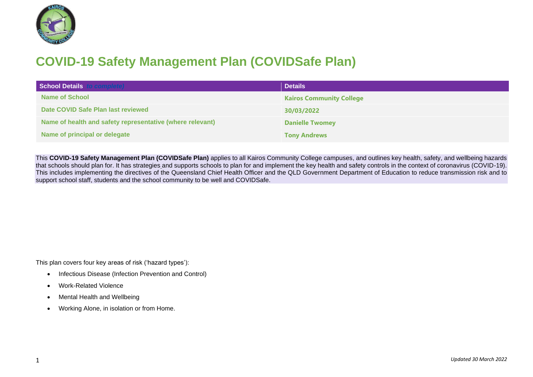

## **COVID-19 Safety Management Plan (COVIDSafe Plan)**

| School Details to complete)                               | <b>Details</b>                  |
|-----------------------------------------------------------|---------------------------------|
| Name of School                                            | <b>Kairos Community College</b> |
| Date COVID Safe Plan last reviewed                        | 30/03/2022                      |
| Name of health and safety representative (where relevant) | <b>Danielle Twomey</b>          |
| Name of principal or delegate                             | <b>Tony Andrews</b>             |

This **COVID-19 Safety Management Plan (COVIDSafe Plan)** applies to all Kairos Community College campuses, and outlines key health, safety, and wellbeing hazards that schools should plan for. It has strategies and supports schools to plan for and implement the key health and safety controls in the context of coronavirus (COVID-19). This includes implementing the directives of the Queensland Chief Health Officer and the QLD Government Department of Education to reduce transmission risk and to support school staff, students and the school community to be well and COVIDSafe.

This plan covers four key areas of risk ('hazard types'):

- Infectious Disease (Infection Prevention and Control)
- Work-Related Violence
- Mental Health and Wellbeing
- Working Alone, in isolation or from Home.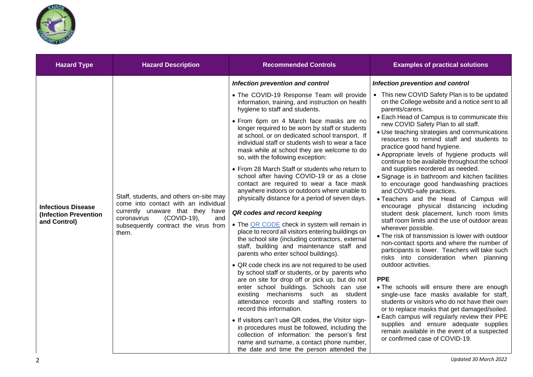

| <b>Hazard Type</b>                                                 | <b>Hazard Description</b>                                                                                                                                                                                 | <b>Recommended Controls</b>                                                                                                                                                                                                                                                                                                                                                                                                                                                                                                                                                                                                                                                                                                                                                                                                                                                                                                                                                                                                                                                                                                                                                                                                                                                                                                                                                                                                                                                                                                   | <b>Examples of practical solutions</b>                                                                                                                                                                                                                                                                                                                                                                                                                                                                                                                                                                                                                                                                                                                                                                                                                                                                                                                                                                                                                                                                                                                                                                                                                                                                                                                                                                                           |
|--------------------------------------------------------------------|-----------------------------------------------------------------------------------------------------------------------------------------------------------------------------------------------------------|-------------------------------------------------------------------------------------------------------------------------------------------------------------------------------------------------------------------------------------------------------------------------------------------------------------------------------------------------------------------------------------------------------------------------------------------------------------------------------------------------------------------------------------------------------------------------------------------------------------------------------------------------------------------------------------------------------------------------------------------------------------------------------------------------------------------------------------------------------------------------------------------------------------------------------------------------------------------------------------------------------------------------------------------------------------------------------------------------------------------------------------------------------------------------------------------------------------------------------------------------------------------------------------------------------------------------------------------------------------------------------------------------------------------------------------------------------------------------------------------------------------------------------|----------------------------------------------------------------------------------------------------------------------------------------------------------------------------------------------------------------------------------------------------------------------------------------------------------------------------------------------------------------------------------------------------------------------------------------------------------------------------------------------------------------------------------------------------------------------------------------------------------------------------------------------------------------------------------------------------------------------------------------------------------------------------------------------------------------------------------------------------------------------------------------------------------------------------------------------------------------------------------------------------------------------------------------------------------------------------------------------------------------------------------------------------------------------------------------------------------------------------------------------------------------------------------------------------------------------------------------------------------------------------------------------------------------------------------|
|                                                                    |                                                                                                                                                                                                           | Infection prevention and control                                                                                                                                                                                                                                                                                                                                                                                                                                                                                                                                                                                                                                                                                                                                                                                                                                                                                                                                                                                                                                                                                                                                                                                                                                                                                                                                                                                                                                                                                              | Infection prevention and control                                                                                                                                                                                                                                                                                                                                                                                                                                                                                                                                                                                                                                                                                                                                                                                                                                                                                                                                                                                                                                                                                                                                                                                                                                                                                                                                                                                                 |
| <b>Infectious Disease</b><br>(Infection Prevention<br>and Control) | Staff, students, and others on-site may<br>come into contact with an individual<br>currently unaware that they have<br>coronavirus<br>(COVID-19),<br>and<br>subsequently contract the virus from<br>them. | • The COVID-19 Response Team will provide<br>information, training, and instruction on health<br>hygiene to staff and students.<br>• From 6pm on 4 March face masks are no<br>longer required to be worn by staff or students<br>at school, or on dedicated school transport. If<br>individual staff or students wish to wear a face<br>mask while at school they are welcome to do<br>so, with the following exception:<br>• From 28 March Staff or students who return to<br>school after having COVID-19 or as a close<br>contact are required to wear a face mask<br>anywhere indoors or outdoors where unable to<br>physically distance for a period of seven days.<br>QR codes and record keeping<br>• The QR CODE check in system will remain in<br>place to record all visitors entering buildings on<br>the school site (including contractors, external<br>staff, building and maintenance staff and<br>parents who enter school buildings).<br>• QR code check ins are not required to be used<br>by school staff or students, or by parents who<br>are on site for drop off or pick up, but do not<br>enter school buildings. Schools can use<br>existing mechanisms such as student<br>attendance records and staffing rosters to<br>record this information.<br>• If visitors can't use QR codes, the Visitor sign-<br>in procedures must be followed, including the<br>collection of information: the person's first<br>name and surname, a contact phone number,<br>the date and time the person attended the | • This new COVID Safety Plan is to be updated<br>on the College website and a notice sent to all<br>parents/carers.<br>• Each Head of Campus is to communicate this<br>new COVID Safety Plan to all staff.<br>· Use teaching strategies and communications<br>resources to remind staff and students to<br>practice good hand hygiene.<br>• Appropriate levels of hygiene products will<br>continue to be available throughout the school<br>and supplies reordered as needed.<br>• Signage is in bathroom and kitchen facilities<br>to encourage good handwashing practices<br>and COVID-safe practices.<br>. Teachers and the Head of Campus will<br>encourage physical distancing including<br>student desk placement, lunch room limits<br>staff room limits and the use of outdoor areas<br>wherever possible.<br>• The risk of transmission is lower with outdoor<br>non-contact sports and where the number of<br>participants is lower. Teachers will take such<br>risks into consideration when planning<br>outdoor activities.<br><b>PPE</b><br>. The schools will ensure there are enough<br>single-use face masks available for staff,<br>students or visitors who do not have their own<br>or to replace masks that get damaged/soiled.<br>• Each campus will regularly review their PPE<br>supplies and ensure adequate supplies<br>remain available in the event of a suspected<br>or confirmed case of COVID-19. |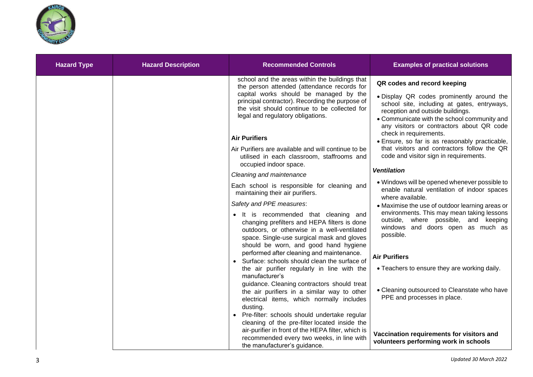

| <b>Hazard Type</b> | <b>Hazard Description</b> | <b>Recommended Controls</b>                                                                                                                                                                                                                                                                                                                                                                                                                                         | <b>Examples of practical solutions</b>                                                                                                                                                                                                                                                                                                                                                                                                             |
|--------------------|---------------------------|---------------------------------------------------------------------------------------------------------------------------------------------------------------------------------------------------------------------------------------------------------------------------------------------------------------------------------------------------------------------------------------------------------------------------------------------------------------------|----------------------------------------------------------------------------------------------------------------------------------------------------------------------------------------------------------------------------------------------------------------------------------------------------------------------------------------------------------------------------------------------------------------------------------------------------|
|                    |                           | school and the areas within the buildings that<br>the person attended (attendance records for<br>capital works should be managed by the<br>principal contractor). Recording the purpose of<br>the visit should continue to be collected for<br>legal and regulatory obligations.<br><b>Air Purifiers</b><br>Air Purifiers are available and will continue to be<br>utilised in each classroom, staffrooms and<br>occupied indoor space.<br>Cleaning and maintenance | QR codes and record keeping<br>. Display QR codes prominently around the<br>school site, including at gates, entryways,<br>reception and outside buildings.<br>• Communicate with the school community and<br>any visitors or contractors about QR code<br>check in requirements.<br>· Ensure, so far is as reasonably practicable,<br>that visitors and contractors follow the QR<br>code and visitor sign in requirements.<br><b>Ventilation</b> |
|                    |                           | Each school is responsible for cleaning and<br>maintaining their air purifiers.<br>Safety and PPE measures:<br>• It is recommended that cleaning and<br>changing prefilters and HEPA filters is done<br>outdoors, or otherwise in a well-ventilated<br>space. Single-use surgical mask and gloves<br>should be worn, and good hand hygiene                                                                                                                          | • Windows will be opened whenever possible to<br>enable natural ventilation of indoor spaces<br>where available.<br>• Maximise the use of outdoor learning areas or<br>environments. This may mean taking lessons<br>outside, where possible, and keeping<br>windows and doors open as much as<br>possible.                                                                                                                                        |
|                    |                           | performed after cleaning and maintenance.<br>• Surface: schools should clean the surface of<br>the air purifier regularly in line with the<br>manufacturer's<br>guidance. Cleaning contractors should treat<br>the air purifiers in a similar way to other<br>electrical items, which normally includes<br>dusting.                                                                                                                                                 | <b>Air Purifiers</b><br>• Teachers to ensure they are working daily.<br>• Cleaning outsourced to Cleanstate who have<br>PPE and processes in place.                                                                                                                                                                                                                                                                                                |
|                    |                           | Pre-filter: schools should undertake regular<br>cleaning of the pre-filter located inside the<br>air-purifier in front of the HEPA filter, which is<br>recommended every two weeks, in line with<br>the manufacturer's guidance.                                                                                                                                                                                                                                    | Vaccination requirements for visitors and<br>volunteers performing work in schools                                                                                                                                                                                                                                                                                                                                                                 |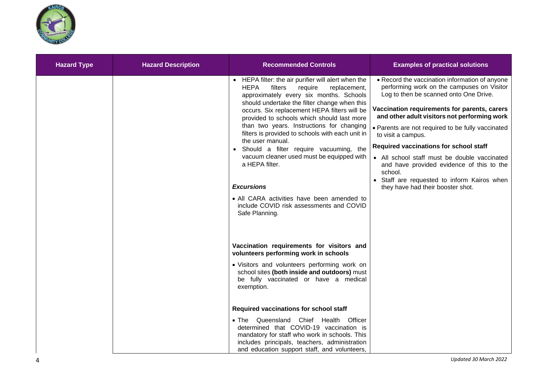

| <b>Hazard Type</b> | <b>Hazard Description</b> | <b>Recommended Controls</b>                                                                                                                                                                                                                                                                                                                                                                                                                                                                                                                                                                                                                                      | <b>Examples of practical solutions</b>                                                                                                                                                                                                                                                                                                                                                                                                                                                                                                                  |
|--------------------|---------------------------|------------------------------------------------------------------------------------------------------------------------------------------------------------------------------------------------------------------------------------------------------------------------------------------------------------------------------------------------------------------------------------------------------------------------------------------------------------------------------------------------------------------------------------------------------------------------------------------------------------------------------------------------------------------|---------------------------------------------------------------------------------------------------------------------------------------------------------------------------------------------------------------------------------------------------------------------------------------------------------------------------------------------------------------------------------------------------------------------------------------------------------------------------------------------------------------------------------------------------------|
|                    |                           | • HEPA filter: the air purifier will alert when the<br><b>HEPA</b><br>filters<br>require<br>replacement,<br>approximately every six months. Schools<br>should undertake the filter change when this<br>occurs. Six replacement HEPA filters will be<br>provided to schools which should last more<br>than two years. Instructions for changing<br>filters is provided to schools with each unit in<br>the user manual.<br>Should a filter require vacuuming, the<br>vacuum cleaner used must be equipped with<br>a HEPA filter.<br><b>Excursions</b><br>• All CARA activities have been amended to<br>include COVID risk assessments and COVID<br>Safe Planning. | • Record the vaccination information of anyone<br>performing work on the campuses on Visitor<br>Log to then be scanned onto One Drive.<br>Vaccination requirements for parents, carers<br>and other adult visitors not performing work<br>• Parents are not required to be fully vaccinated<br>to visit a campus.<br>Required vaccinations for school staff<br>• All school staff must be double vaccinated<br>and have provided evidence of this to the<br>school.<br>• Staff are requested to inform Kairos when<br>they have had their booster shot. |
|                    |                           | Vaccination requirements for visitors and<br>volunteers performing work in schools<br>• Visitors and volunteers performing work on<br>school sites (both inside and outdoors) must<br>be fully vaccinated or have a medical                                                                                                                                                                                                                                                                                                                                                                                                                                      |                                                                                                                                                                                                                                                                                                                                                                                                                                                                                                                                                         |
|                    |                           | exemption.<br>Required vaccinations for school staff<br>. The Queensland Chief Health Officer                                                                                                                                                                                                                                                                                                                                                                                                                                                                                                                                                                    |                                                                                                                                                                                                                                                                                                                                                                                                                                                                                                                                                         |
|                    |                           | determined that COVID-19 vaccination is<br>mandatory for staff who work in schools. This<br>includes principals, teachers, administration<br>and education support staff, and volunteers,                                                                                                                                                                                                                                                                                                                                                                                                                                                                        |                                                                                                                                                                                                                                                                                                                                                                                                                                                                                                                                                         |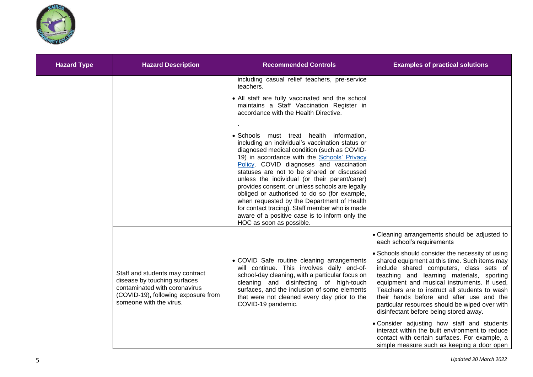

| <b>Hazard Type</b> | <b>Hazard Description</b>                                                                                                                                          | <b>Recommended Controls</b>                                                                                                                                                                                                                                                                                                                                                                                                                                                                                                                                                                                                                                                                                                                                                                                                 | <b>Examples of practical solutions</b>                                                                                                                                                                                                                                                                                                                                                                                                                                                                                                                                                                                                                                                                            |
|--------------------|--------------------------------------------------------------------------------------------------------------------------------------------------------------------|-----------------------------------------------------------------------------------------------------------------------------------------------------------------------------------------------------------------------------------------------------------------------------------------------------------------------------------------------------------------------------------------------------------------------------------------------------------------------------------------------------------------------------------------------------------------------------------------------------------------------------------------------------------------------------------------------------------------------------------------------------------------------------------------------------------------------------|-------------------------------------------------------------------------------------------------------------------------------------------------------------------------------------------------------------------------------------------------------------------------------------------------------------------------------------------------------------------------------------------------------------------------------------------------------------------------------------------------------------------------------------------------------------------------------------------------------------------------------------------------------------------------------------------------------------------|
|                    |                                                                                                                                                                    | including casual relief teachers, pre-service<br>teachers.<br>• All staff are fully vaccinated and the school<br>maintains a Staff Vaccination Register in<br>accordance with the Health Directive.<br>· Schools must treat health information,<br>including an individual's vaccination status or<br>diagnosed medical condition (such as COVID-<br>19) in accordance with the Schools' Privacy<br>Policy. COVID diagnoses and vaccination<br>statuses are not to be shared or discussed<br>unless the individual (or their parent/carer)<br>provides consent, or unless schools are legally<br>obliged or authorised to do so (for example,<br>when requested by the Department of Health<br>for contact tracing). Staff member who is made<br>aware of a positive case is to inform only the<br>HOC as soon as possible. |                                                                                                                                                                                                                                                                                                                                                                                                                                                                                                                                                                                                                                                                                                                   |
|                    | Staff and students may contract<br>disease by touching surfaces<br>contaminated with coronavirus<br>(COVID-19), following exposure from<br>someone with the virus. | • COVID Safe routine cleaning arrangements<br>will continue. This involves daily end-of-<br>school-day cleaning, with a particular focus on<br>cleaning and disinfecting of high-touch<br>surfaces, and the inclusion of some elements<br>that were not cleaned every day prior to the<br>COVID-19 pandemic.                                                                                                                                                                                                                                                                                                                                                                                                                                                                                                                | • Cleaning arrangements should be adjusted to<br>each school's requirements<br>• Schools should consider the necessity of using<br>shared equipment at this time. Such items may<br>include shared computers, class sets of<br>teaching and learning materials, sporting<br>equipment and musical instruments. If used,<br>Teachers are to instruct all students to wash<br>their hands before and after use and the<br>particular resources should be wiped over with<br>disinfectant before being stored away.<br>• Consider adjusting how staff and students<br>interact within the built environment to reduce<br>contact with certain surfaces. For example, a<br>simple measure such as keeping a door open |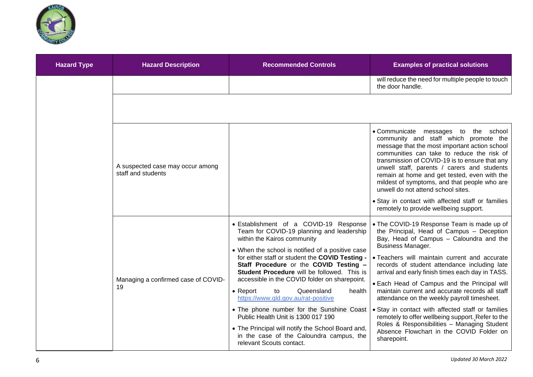

| <b>Hazard Type</b> | <b>Hazard Description</b>                              | <b>Recommended Controls</b>                                                                                                                                                                                                                                                                                                                                                                                                                                                                                                                                                                                                                                                  | <b>Examples of practical solutions</b>                                                                                                                                                                                                                                                                                                                                                                                                                                                                                                                                                                                                                                                    |
|--------------------|--------------------------------------------------------|------------------------------------------------------------------------------------------------------------------------------------------------------------------------------------------------------------------------------------------------------------------------------------------------------------------------------------------------------------------------------------------------------------------------------------------------------------------------------------------------------------------------------------------------------------------------------------------------------------------------------------------------------------------------------|-------------------------------------------------------------------------------------------------------------------------------------------------------------------------------------------------------------------------------------------------------------------------------------------------------------------------------------------------------------------------------------------------------------------------------------------------------------------------------------------------------------------------------------------------------------------------------------------------------------------------------------------------------------------------------------------|
|                    |                                                        |                                                                                                                                                                                                                                                                                                                                                                                                                                                                                                                                                                                                                                                                              | will reduce the need for multiple people to touch<br>the door handle.                                                                                                                                                                                                                                                                                                                                                                                                                                                                                                                                                                                                                     |
|                    |                                                        |                                                                                                                                                                                                                                                                                                                                                                                                                                                                                                                                                                                                                                                                              |                                                                                                                                                                                                                                                                                                                                                                                                                                                                                                                                                                                                                                                                                           |
|                    | A suspected case may occur among<br>staff and students |                                                                                                                                                                                                                                                                                                                                                                                                                                                                                                                                                                                                                                                                              | • Communicate messages to the school<br>community and staff which promote the<br>message that the most important action school<br>communities can take to reduce the risk of<br>transmission of COVID-19 is to ensure that any<br>unwell staff, parents / carers and students<br>remain at home and get tested, even with the<br>mildest of symptoms, and that people who are<br>unwell do not attend school sites.                                                                                                                                                                                                                                                                       |
|                    |                                                        |                                                                                                                                                                                                                                                                                                                                                                                                                                                                                                                                                                                                                                                                              | • Stay in contact with affected staff or families<br>remotely to provide wellbeing support.                                                                                                                                                                                                                                                                                                                                                                                                                                                                                                                                                                                               |
|                    | Managing a confirmed case of COVID-<br>19              | • Establishment of a COVID-19 Response<br>Team for COVID-19 planning and leadership<br>within the Kairos community<br>• When the school is notified of a positive case<br>for either staff or student the COVID Testing -<br>Staff Procedure or the COVID Testing -<br>Student Procedure will be followed. This is<br>accessible in the COVID folder on sharepoint.<br>Queensland<br>$\bullet$ Report<br>to<br>health<br>https://www.qld.gov.au/rat-positive<br>• The phone number for the Sunshine Coast<br>Public Health Unit is 1300 017 190<br>• The Principal will notify the School Board and,<br>in the case of the Caloundra campus, the<br>relevant Scouts contact. | • The COVID-19 Response Team is made up of<br>the Principal, Head of Campus - Deception<br>Bay, Head of Campus - Caloundra and the<br><b>Business Manager.</b><br>• Teachers will maintain current and accurate<br>records of student attendance including late<br>arrival and early finish times each day in TASS.<br>• Each Head of Campus and the Principal will<br>maintain current and accurate records all staff<br>attendance on the weekly payroll timesheet.<br>• Stay in contact with affected staff or families<br>remotely to offer wellbeing support. Refer to the<br>Roles & Responsibilities - Managing Student<br>Absence Flowchart in the COVID Folder on<br>sharepoint. |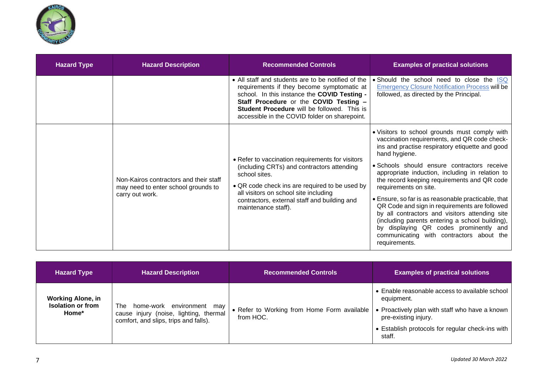

| <b>Hazard Type</b> | <b>Hazard Description</b>                                                                        | <b>Recommended Controls</b>                                                                                                                                                                                                                                                                | <b>Examples of practical solutions</b>                                                                                                                                                                                                                                                                                                                                                                                                                                                                                                                                                                                                                          |
|--------------------|--------------------------------------------------------------------------------------------------|--------------------------------------------------------------------------------------------------------------------------------------------------------------------------------------------------------------------------------------------------------------------------------------------|-----------------------------------------------------------------------------------------------------------------------------------------------------------------------------------------------------------------------------------------------------------------------------------------------------------------------------------------------------------------------------------------------------------------------------------------------------------------------------------------------------------------------------------------------------------------------------------------------------------------------------------------------------------------|
|                    |                                                                                                  | • All staff and students are to be notified of the<br>requirements if they become symptomatic at<br>school. In this instance the COVID Testing -<br>Staff Procedure or the COVID Testing -<br>Student Procedure will be followed. This is<br>accessible in the COVID folder on sharepoint. | • Should the school need to close the ISQ<br><b>Emergency Closure Notification Process will be</b><br>followed, as directed by the Principal.                                                                                                                                                                                                                                                                                                                                                                                                                                                                                                                   |
|                    | Non-Kairos contractors and their staff<br>may need to enter school grounds to<br>carry out work. | • Refer to vaccination requirements for visitors<br>(including CRTs) and contractors attending<br>school sites.<br>• QR code check ins are required to be used by<br>all visitors on school site including<br>contractors, external staff and building and<br>maintenance staff).          | . Visitors to school grounds must comply with<br>vaccination requirements, and QR code check-<br>ins and practise respiratory etiquette and good<br>hand hygiene.<br>· Schools should ensure contractors receive<br>appropriate induction, including in relation to<br>the record keeping requirements and QR code<br>requirements on site.<br>• Ensure, so far is as reasonable practicable, that<br>QR Code and sign in requirements are followed<br>by all contractors and visitors attending site<br>(including parents entering a school building),<br>by displaying QR codes prominently and<br>communicating with contractors about the<br>requirements. |

| <b>Hazard Type</b>                                            | <b>Hazard Description</b>                                                                                              | <b>Recommended Controls</b>                              | <b>Examples of practical solutions</b>                                                                                                                                                               |
|---------------------------------------------------------------|------------------------------------------------------------------------------------------------------------------------|----------------------------------------------------------|------------------------------------------------------------------------------------------------------------------------------------------------------------------------------------------------------|
| <b>Working Alone, in</b><br><b>Isolation or from</b><br>Home* | home-work environment<br>The<br>may<br>cause injury (noise, lighting, thermal<br>comfort, and slips, trips and falls). | • Refer to Working from Home Form available<br>from HOC. | • Enable reasonable access to available school<br>equipment.<br>• Proactively plan with staff who have a known<br>pre-existing injury.<br>• Establish protocols for regular check-ins with<br>staff. |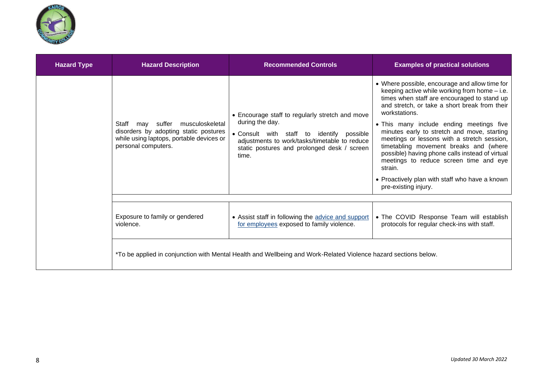

| <b>Hazard Type</b> | <b>Hazard Description</b>                                                                                                                             | <b>Recommended Controls</b>                                                                                                                                                                                              | <b>Examples of practical solutions</b>                                                                                                                                                                                                                                                                                                                                                                                                                                                                                                                                                 |
|--------------------|-------------------------------------------------------------------------------------------------------------------------------------------------------|--------------------------------------------------------------------------------------------------------------------------------------------------------------------------------------------------------------------------|----------------------------------------------------------------------------------------------------------------------------------------------------------------------------------------------------------------------------------------------------------------------------------------------------------------------------------------------------------------------------------------------------------------------------------------------------------------------------------------------------------------------------------------------------------------------------------------|
|                    | suffer<br>musculoskeletal<br>Staff<br>may<br>disorders by adopting static postures<br>while using laptops, portable devices or<br>personal computers. | • Encourage staff to regularly stretch and move<br>during the day.<br>• Consult with staff to identify possible<br>adjustments to work/tasks/timetable to reduce<br>static postures and prolonged desk / screen<br>time. | • Where possible, encourage and allow time for<br>keeping active while working from home - i.e.<br>times when staff are encouraged to stand up<br>and stretch, or take a short break from their<br>workstations.<br>. This many include ending meetings five<br>minutes early to stretch and move, starting<br>meetings or lessons with a stretch session,<br>timetabling movement breaks and (where<br>possible) having phone calls instead of virtual<br>meetings to reduce screen time and eye<br>strain.<br>• Proactively plan with staff who have a known<br>pre-existing injury. |
|                    |                                                                                                                                                       |                                                                                                                                                                                                                          |                                                                                                                                                                                                                                                                                                                                                                                                                                                                                                                                                                                        |
|                    | Exposure to family or gendered<br>violence.                                                                                                           | • Assist staff in following the advice and support<br>for employees exposed to family violence.                                                                                                                          | • The COVID Response Team will establish<br>protocols for regular check-ins with staff.                                                                                                                                                                                                                                                                                                                                                                                                                                                                                                |
|                    |                                                                                                                                                       | *To be applied in conjunction with Mental Health and Wellbeing and Work-Related Violence hazard sections below.                                                                                                          |                                                                                                                                                                                                                                                                                                                                                                                                                                                                                                                                                                                        |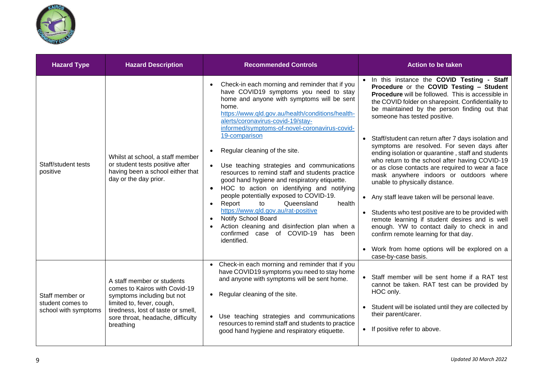

| <b>Hazard Type</b>                                          | <b>Hazard Description</b>                                                                                                                                                                                      | <b>Recommended Controls</b>                                                                                                                                                                                                                                                                                                                                                                                                                                                                                                                                                                                                                                                                                                                                                                       | <b>Action to be taken</b>                                                                                                                                                                                                                                                                                                                                                                                                                                                                                                                                                                                                                                                                                                                                                                                                                                                                                                                                    |
|-------------------------------------------------------------|----------------------------------------------------------------------------------------------------------------------------------------------------------------------------------------------------------------|---------------------------------------------------------------------------------------------------------------------------------------------------------------------------------------------------------------------------------------------------------------------------------------------------------------------------------------------------------------------------------------------------------------------------------------------------------------------------------------------------------------------------------------------------------------------------------------------------------------------------------------------------------------------------------------------------------------------------------------------------------------------------------------------------|--------------------------------------------------------------------------------------------------------------------------------------------------------------------------------------------------------------------------------------------------------------------------------------------------------------------------------------------------------------------------------------------------------------------------------------------------------------------------------------------------------------------------------------------------------------------------------------------------------------------------------------------------------------------------------------------------------------------------------------------------------------------------------------------------------------------------------------------------------------------------------------------------------------------------------------------------------------|
| Staff/student tests<br>positive                             | Whilst at school, a staff member<br>or student tests positive after<br>having been a school either that<br>day or the day prior.                                                                               | Check-in each morning and reminder that if you<br>have COVID19 symptoms you need to stay<br>home and anyone with symptoms will be sent<br>home.<br>https://www.qld.gov.au/health/conditions/health-<br>alerts/coronavirus-covid-19/stay-<br>informed/symptoms-of-novel-coronavirus-covid-<br>19-comparison<br>Regular cleaning of the site.<br>Use teaching strategies and communications<br>resources to remind staff and students practice<br>good hand hygiene and respiratory etiquette.<br>HOC to action on identifying and notifying<br>people potentially exposed to COVID-19.<br>Report<br>Queensland<br>health<br>to<br>https://www.qld.gov.au/rat-positive<br>Notify School Board<br>Action cleaning and disinfection plan when a<br>confirmed case of COVID-19 has been<br>identified. | In this instance the COVID Testing - Staff<br>Procedure or the COVID Testing - Student<br>Procedure will be followed. This is accessible in<br>the COVID folder on sharepoint. Confidentiality to<br>be maintained by the person finding out that<br>someone has tested positive.<br>Staff/student can return after 7 days isolation and<br>symptoms are resolved. For seven days after<br>ending isolation or quarantine, staff and students<br>who return to the school after having COVID-19<br>or as close contacts are required to wear a face<br>mask anywhere indoors or outdoors where<br>unable to physically distance.<br>• Any staff leave taken will be personal leave.<br>Students who test positive are to be provided with<br>remote learning if student desires and is well<br>enough. YW to contact daily to check in and<br>confirm remote learning for that day.<br>• Work from home options will be explored on a<br>case-by-case basis. |
| Staff member or<br>student comes to<br>school with symptoms | A staff member or students<br>comes to Kairos with Covid-19<br>symptoms including but not<br>limited to, fever, cough,<br>tiredness, lost of taste or smell,<br>sore throat, headache, difficulty<br>breathing | Check-in each morning and reminder that if you<br>have COVID19 symptoms you need to stay home<br>and anyone with symptoms will be sent home.<br>Regular cleaning of the site.<br>Use teaching strategies and communications<br>resources to remind staff and students to practice<br>good hand hygiene and respiratory etiquette.                                                                                                                                                                                                                                                                                                                                                                                                                                                                 | Staff member will be sent home if a RAT test<br>cannot be taken. RAT test can be provided by<br>HOC only.<br>Student will be isolated until they are collected by<br>their parent/carer.<br>If positive refer to above.<br>$\bullet$                                                                                                                                                                                                                                                                                                                                                                                                                                                                                                                                                                                                                                                                                                                         |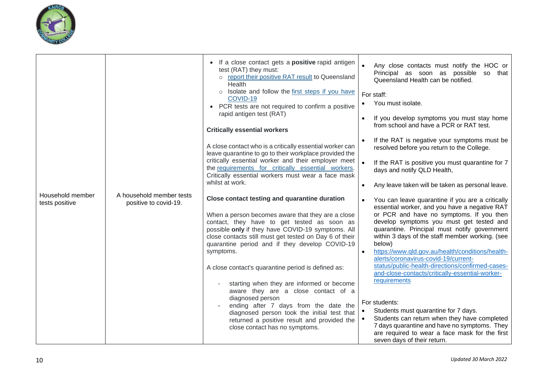

|                                    |                                                   | If a close contact gets a <b>positive</b> rapid antigen<br>$\bullet$<br>test (RAT) they must:<br>o report their positive RAT result to Queensland<br>Health<br>$\circ$ Isolate and follow the first steps if you have<br>COVID-19<br>PCR tests are not required to confirm a positive<br>$\bullet$<br>rapid antigen test (RAT)<br><b>Critically essential workers</b>                                                                                                                                                                                                                                                                | $\bullet$<br>Any close contacts must notify the HOC or<br>Principal as soon as possible so that<br>Queensland Health can be notified.<br>For staff:<br>You must isolate.<br>If you develop symptoms you must stay home<br>from school and have a PCR or RAT test.                                                                                                                                                                                                                                                                                                                                                                                            |
|------------------------------------|---------------------------------------------------|--------------------------------------------------------------------------------------------------------------------------------------------------------------------------------------------------------------------------------------------------------------------------------------------------------------------------------------------------------------------------------------------------------------------------------------------------------------------------------------------------------------------------------------------------------------------------------------------------------------------------------------|--------------------------------------------------------------------------------------------------------------------------------------------------------------------------------------------------------------------------------------------------------------------------------------------------------------------------------------------------------------------------------------------------------------------------------------------------------------------------------------------------------------------------------------------------------------------------------------------------------------------------------------------------------------|
|                                    |                                                   | A close contact who is a critically essential worker can<br>leave quarantine to go to their workplace provided the                                                                                                                                                                                                                                                                                                                                                                                                                                                                                                                   | If the RAT is negative your symptoms must be<br>resolved before you return to the College.                                                                                                                                                                                                                                                                                                                                                                                                                                                                                                                                                                   |
|                                    |                                                   | critically essential worker and their employer meet<br>the requirements for critically essential workers.<br>Critically essential workers must wear a face mask                                                                                                                                                                                                                                                                                                                                                                                                                                                                      | If the RAT is positive you must quarantine for 7<br>days and notify QLD Health,                                                                                                                                                                                                                                                                                                                                                                                                                                                                                                                                                                              |
|                                    | whilst at work.                                   | Any leave taken will be taken as personal leave.                                                                                                                                                                                                                                                                                                                                                                                                                                                                                                                                                                                     |                                                                                                                                                                                                                                                                                                                                                                                                                                                                                                                                                                                                                                                              |
| Household member<br>tests positive | A household member tests<br>positive to covid-19. | Close contact testing and quarantine duration<br>When a person becomes aware that they are a close<br>contact, they have to get tested as soon as<br>possible only if they have COVID-19 symptoms. All<br>close contacts still must get tested on Day 6 of their<br>quarantine period and if they develop COVID-19<br>symptoms.<br>A close contact's quarantine period is defined as:<br>starting when they are informed or become<br>aware they are a close contact of a<br>diagnosed person<br>ending after 7 days from the date the<br>diagnosed person took the initial test that<br>returned a positive result and provided the | You can leave quarantine if you are a critically<br>essential worker, and you have a negative RAT<br>or PCR and have no symptoms. If you then<br>develop symptoms you must get tested and<br>quarantine. Principal must notify government<br>within 3 days of the staff member working. (see<br>below)<br>https://www.qld.gov.au/health/conditions/health-<br>alerts/coronavirus-covid-19/current-<br>status/public-health-directions/confirmed-cases-<br>and-close-contacts/critically-essential-worker-<br>requirements<br>For students:<br>Students must quarantine for 7 days.<br>$\bullet$<br>Students can return when they have completed<br>$\bullet$ |
|                                    |                                                   | close contact has no symptoms.                                                                                                                                                                                                                                                                                                                                                                                                                                                                                                                                                                                                       | 7 days quarantine and have no symptoms. They<br>are required to wear a face mask for the first<br>seven days of their return.                                                                                                                                                                                                                                                                                                                                                                                                                                                                                                                                |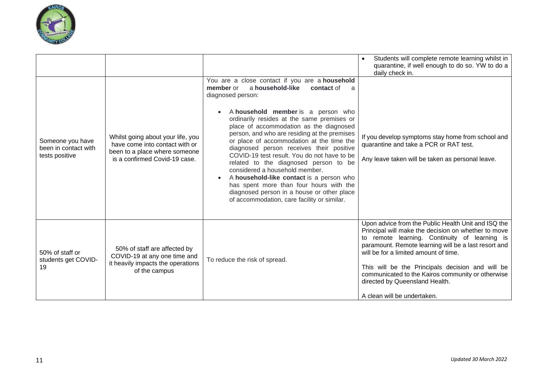

|                                                            |                                                                                                                                       |                                                                                                                                                                                                                                                                                                                                                                                                                                                                                                                                                                                                                                                                                                          | Students will complete remote learning whilst in<br>quarantine, if well enough to do so. YW to do a<br>daily check in.                                                                                                                                                                                                                                                                                                                 |
|------------------------------------------------------------|---------------------------------------------------------------------------------------------------------------------------------------|----------------------------------------------------------------------------------------------------------------------------------------------------------------------------------------------------------------------------------------------------------------------------------------------------------------------------------------------------------------------------------------------------------------------------------------------------------------------------------------------------------------------------------------------------------------------------------------------------------------------------------------------------------------------------------------------------------|----------------------------------------------------------------------------------------------------------------------------------------------------------------------------------------------------------------------------------------------------------------------------------------------------------------------------------------------------------------------------------------------------------------------------------------|
| Someone you have<br>been in contact with<br>tests positive | Whilst going about your life, you<br>have come into contact with or<br>been to a place where someone<br>is a confirmed Covid-19 case. | You are a close contact if you are a household<br>a household-like<br>member or<br>contact of<br>diagnosed person:<br>A household member is a person who<br>ordinarily resides at the same premises or<br>place of accommodation as the diagnosed<br>person, and who are residing at the premises<br>or place of accommodation at the time the<br>diagnosed person receives their positive<br>COVID-19 test result. You do not have to be<br>related to the diagnosed person to be<br>considered a household member.<br>A household-like contact is a person who<br>has spent more than four hours with the<br>diagnosed person in a house or other place<br>of accommodation, care facility or similar. | If you develop symptoms stay home from school and<br>quarantine and take a PCR or RAT test.<br>Any leave taken will be taken as personal leave.                                                                                                                                                                                                                                                                                        |
| 50% of staff or<br>students get COVID-<br>19               | 50% of staff are affected by<br>COVID-19 at any one time and<br>it heavily impacts the operations<br>of the campus                    | To reduce the risk of spread.                                                                                                                                                                                                                                                                                                                                                                                                                                                                                                                                                                                                                                                                            | Upon advice from the Public Health Unit and ISQ the<br>Principal will make the decision on whether to move<br>to remote learning. Continuity of learning is<br>paramount. Remote learning will be a last resort and<br>will be for a limited amount of time.<br>This will be the Principals decision and will be<br>communicated to the Kairos community or otherwise<br>directed by Queensland Health.<br>A clean will be undertaken. |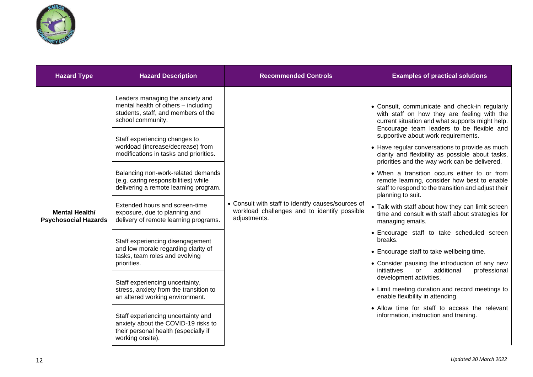

| <b>Hazard Type</b>                                   | <b>Hazard Description</b>                                                                                                                                                                                                                                                                                                                                                                                                                                                                                                                                                                                                                                                                                                                                                                                                                                                   | <b>Recommended Controls</b>                                                                                        | <b>Examples of practical solutions</b>                                                                                                                                                                                                                                                                                                                                                                                                                                                                                                                                                                                                                                                                                                                                                                                                                                                                                                                                                                                                                                                                                       |
|------------------------------------------------------|-----------------------------------------------------------------------------------------------------------------------------------------------------------------------------------------------------------------------------------------------------------------------------------------------------------------------------------------------------------------------------------------------------------------------------------------------------------------------------------------------------------------------------------------------------------------------------------------------------------------------------------------------------------------------------------------------------------------------------------------------------------------------------------------------------------------------------------------------------------------------------|--------------------------------------------------------------------------------------------------------------------|------------------------------------------------------------------------------------------------------------------------------------------------------------------------------------------------------------------------------------------------------------------------------------------------------------------------------------------------------------------------------------------------------------------------------------------------------------------------------------------------------------------------------------------------------------------------------------------------------------------------------------------------------------------------------------------------------------------------------------------------------------------------------------------------------------------------------------------------------------------------------------------------------------------------------------------------------------------------------------------------------------------------------------------------------------------------------------------------------------------------------|
| <b>Mental Health/</b><br><b>Psychosocial Hazards</b> | Leaders managing the anxiety and<br>mental health of others - including<br>students, staff, and members of the<br>school community.<br>Staff experiencing changes to<br>workload (increase/decrease) from<br>modifications in tasks and priorities.<br>Balancing non-work-related demands<br>(e.g. caring responsibilities) while<br>delivering a remote learning program.<br>Extended hours and screen-time<br>exposure, due to planning and<br>delivery of remote learning programs.<br>Staff experiencing disengagement<br>and low morale regarding clarity of<br>tasks, team roles and evolving<br>priorities.<br>Staff experiencing uncertainty,<br>stress, anxiety from the transition to<br>an altered working environment.<br>Staff experiencing uncertainty and<br>anxiety about the COVID-19 risks to<br>their personal health (especially if<br>working onsite). | • Consult with staff to identify causes/sources of<br>workload challenges and to identify possible<br>adjustments. | • Consult, communicate and check-in regularly<br>with staff on how they are feeling with the<br>current situation and what supports might help.<br>Encourage team leaders to be flexible and<br>supportive about work requirements.<br>• Have regular conversations to provide as much<br>clarity and flexibility as possible about tasks,<br>priorities and the way work can be delivered.<br>• When a transition occurs either to or from<br>remote learning, consider how best to enable<br>staff to respond to the transition and adjust their<br>planning to suit.<br>• Talk with staff about how they can limit screen<br>time and consult with staff about strategies for<br>managing emails.<br>• Encourage staff to take scheduled screen<br>breaks.<br>• Encourage staff to take wellbeing time.<br>• Consider pausing the introduction of any new<br>initiatives<br>additional<br>professional<br>or<br>development activities.<br>• Limit meeting duration and record meetings to<br>enable flexibility in attending.<br>• Allow time for staff to access the relevant<br>information, instruction and training. |